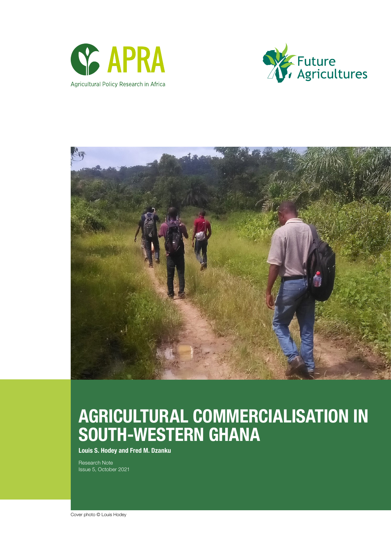





# AGRICULTURAL COMMERCIALISATION IN SOUTH-WESTERN GHANA

Louis S. Hodey and Fred M. Dzanku

Research Note Issue 5, October 2021

Cover photo © Louis Hodey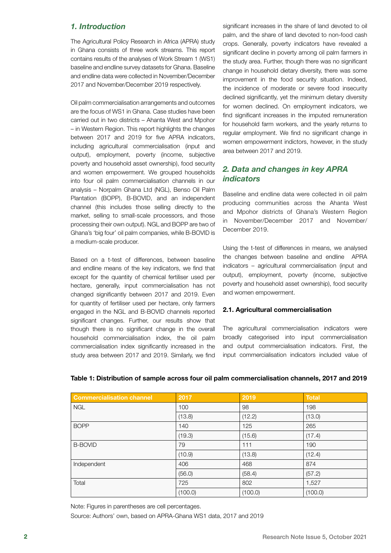## *1. Introduction*

The Agricultural Policy Research in Africa (APRA) study in Ghana consists of three work streams. This report contains results of the analyses of Work Stream 1 (WS1) baseline and endline survey datasets for Ghana. Baseline and endline data were collected in November/December 2017 and November/December 2019 respectively.

Oil palm commercialisation arrangements and outcomes are the focus of WS1 in Ghana. Case studies have been carried out in two districts – Ahanta West and Mpohor – in Western Region. This report highlights the changes between 2017 and 2019 for five APRA indicators, including agricultural commercialisation (input and output), employment, poverty (income, subjective poverty and household asset ownership), food security and women empowerment. We grouped households into four oil palm commercialisation channels in our analysis – Norpalm Ghana Ltd (NGL), Benso Oil Palm Plantation (BOPP), B-BOVID, and an independent channel (this includes those selling directly to the market, selling to small-scale processors, and those processing their own output). NGL and BOPP are two of Ghana's 'big four' oil palm companies, while B-BOVID is a medium-scale producer.

Based on a t-test of differences, between baseline and endline means of the key indicators, we find that except for the quantity of chemical fertiliser used per hectare, generally, input commercialisation has not changed significantly between 2017 and 2019. Even for quantity of fertiliser used per hectare, only farmers engaged in the NGL and B-BOVID channels reported significant changes. Further, our results show that though there is no significant change in the overall household commercialisation index, the oil palm commercialisation index significantly increased in the study area between 2017 and 2019. Similarly, we find

significant increases in the share of land devoted to oil palm, and the share of land devoted to non-food cash crops. Generally, poverty indicators have revealed a significant decline in poverty among oil palm farmers in the study area. Further, though there was no significant change in household dietary diversity, there was some improvement in the food security situation. Indeed, the incidence of moderate or severe food insecurity declined significantly, yet the minimum dietary diversity for women declined. On employment indicators, we find significant increases in the imputed remuneration for household farm workers, and the yearly returns to regular employment. We find no significant change in women empowerment indictors, however, in the study area between 2017 and 2019.

## *2. Data and changes in key APRA indicators*

Baseline and endline data were collected in oil palm producing communities across the Ahanta West and Mpohor districts of Ghana's Western Region in November/December 2017 and November/ December 2019.

Using the t-test of differences in means, we analysed the changes between baseline and endline APRA indicators – agricultural commercialisation (input and output), employment, poverty (income, subjective poverty and household asset ownership), food security and women empowerment.

## 2.1. Agricultural commercialisation

The agricultural commercialisation indicators were broadly categorised into input commercialisation and output commercialisation indicators. First, the input commercialisation indicators included value of

| <b>Commercialisation channel</b> | 2017    | 2019    | <b>Total</b> |
|----------------------------------|---------|---------|--------------|
| <b>NGL</b>                       | 100     | 98      | 198          |
|                                  | (13.8)  | (12.2)  | (13.0)       |
| <b>BOPP</b>                      | 140     | 125     | 265          |
|                                  | (19.3)  | (15.6)  | (17.4)       |
| <b>B-BOVID</b>                   | 79      | 111     | 190          |
|                                  | (10.9)  | (13.8)  | (12.4)       |
| Independent                      | 406     | 468     | 874          |
|                                  | (56.0)  | (58.4)  | (57.2)       |
| Total                            | 725     | 802     | 1,527        |
|                                  | (100.0) | (100.0) | (100.0)      |

## Table 1: Distribution of sample across four oil palm commercialisation channels, 2017 and 2019

Note: Figures in parentheses are cell percentages.

Source: Authors' own, based on APRA-Ghana WS1 data, 2017 and 2019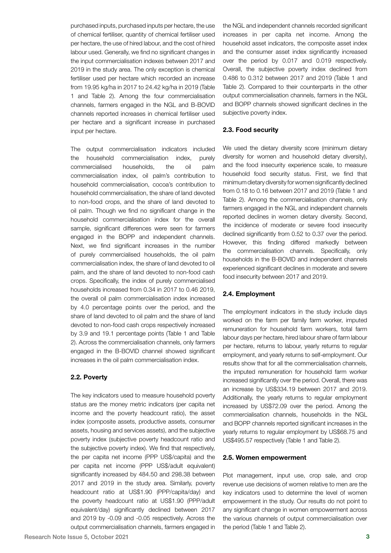purchased inputs, purchased inputs per hectare, the use of chemical fertiliser, quantity of chemical fertiliser used per hectare, the use of hired labour, and the cost of hired labour used. Generally, we find no significant changes in the input commercialisation indexes between 2017 and 2019 in the study area. The only exception is chemical fertiliser used per hectare which recorded an increase from 19.95 kg/ha in 2017 to 24.42 kg/ha in 2019 (Table 1 and Table 2). Among the four commercialisation channels, farmers engaged in the NGL and B-BOVID channels reported increases in chemical fertiliser used per hectare and a significant increase in purchased input per hectare.

The output commercialisation indicators included the household commercialisation index, purely commercialised households, the oil palm commercialisation index, oil palm's contribution to household commercialisation, cocoa's contribution to household commercialisation, the share of land devoted to non-food crops, and the share of land devoted to oil palm. Though we find no significant change in the household commercialisation index for the overall sample, significant differences were seen for farmers engaged in the BOPP and independent channels. Next, we find significant increases in the number of purely commercialised households, the oil palm commercialisation index, the share of land devoted to oil palm, and the share of land devoted to non-food cash crops. Specifically, the index of purely commercialised households increased from 0.34 in 2017 to 0.46 2019, the overall oil palm commercialisation index increased by 4.0 percentage points over the period, and the share of land devoted to oil palm and the share of land devoted to non-food cash crops respectively increased by 3.9 and 19.1 percentage points (Table 1 and Table 2). Across the commercialisation channels, only farmers engaged in the B-BOVID channel showed significant increases in the oil palm commercialisation index.

### 2.2. Poverty

The key indicators used to measure household poverty status are the money metric indicators (per capita net income and the poverty headcount ratio), the asset index (composite assets, productive assets, consumer assets, housing and services assets), and the subjective poverty index (subjective poverty headcount ratio and the subjective poverty index). We find that respectively, the per capita net income (PPP US\$/capita) and the per capita net income (PPP US\$/adult equivalent) significantly increased by 484.50 and 298.38 between 2017 and 2019 in the study area. Similarly, poverty headcount ratio at US\$1.90 (PPP/capita/day) and the poverty headcount ratio at US\$1.90 (PPP/adult equivalent/day) significantly declined between 2017 and 2019 by -0.09 and -0.05 respectively. Across the output commercialisation channels, farmers engaged in

the NGL and independent channels recorded significant increases in per capita net income. Among the household asset indicators, the composite asset index and the consumer asset index significantly increased over the period by 0.017 and 0.019 respectively. Overall, the subjective poverty index declined from 0.486 to 0.312 between 2017 and 2019 (Table 1 and Table 2). Compared to their counterparts in the other output commercialisation channels, farmers in the NGL and BOPP channels showed significant declines in the subjective poverty index.

#### 2.3. Food security

We used the dietary diversity score (minimum dietary diversity for women and household dietary diversity), and the food insecurity experience scale, to measure household food security status. First, we find that minimum dietary diversity for women significantly declined from 0.18 to 0.16 between 2017 and 2019 (Table 1 and Table 2). Among the commercialisation channels, only farmers engaged in the NGL and independent channels reported declines in women dietary diversity. Second, the incidence of moderate or severe food insecurity declined significantly from 0.52 to 0.37 over the period. However, this finding differed markedly between the commercialisation channels. Specifically, only households in the B-BOVID and independent channels experienced significant declines in moderate and severe food insecurity between 2017 and 2019.

#### 2.4. Employment

The employment indicators in the study include days worked on the farm per family farm worker, imputed remuneration for household farm workers, total farm labour days per hectare, hired labour share of farm labour per hectare, returns to labour, yearly returns to regular employment, and yearly returns to self-employment. Our results show that for all the commercialisation channels, the imputed remuneration for household farm worker increased significantly over the period. Overall, there was an increase by US\$334.19 between 2017 and 2019. Additionally, the yearly returns to regular employment increased by US\$72.09 over the period. Among the commercialisation channels, households in the NGL and BOPP channels reported significant increases in the yearly returns to regular employment by US\$68.75 and US\$495.57 respectively (Table 1 and Table 2).

#### 2.5. Women empowerment

Plot management, input use, crop sale, and crop revenue use decisions of women relative to men are the key indicators used to determine the level of women empowerment in the study. Our results do not point to any significant change in women empowerment across the various channels of output commercialisation over the period (Table 1 and Table 2).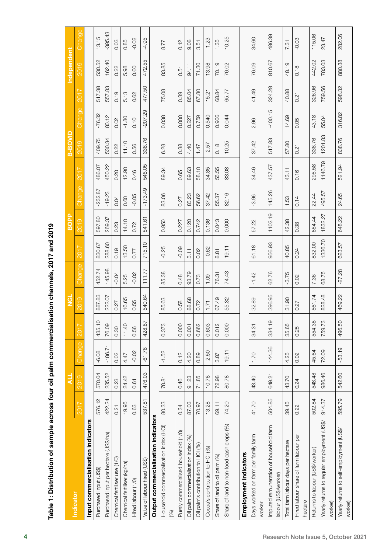|       | :<br>;                                                                               |
|-------|--------------------------------------------------------------------------------------|
|       |                                                                                      |
|       | ֦֖֪֪֪֪֦֪֪֪֦֖֛֪֪֛֪֪֛֖֛֪֪֦֧֚֚֚֚֚֚֚֚֚֚֚֚֚֚֝֝֝֝֝֝֝֝֝֝֝֝֝֬֝֝֟֝֬֝֓֟֝֓֝֝                    |
|       |                                                                                      |
|       |                                                                                      |
|       |                                                                                      |
|       | ֧֧֦֧֧֧֦֧֚֚֚֚֚֚֚֓֕֘֝֬֓֓֓֝֬֓֓֝֬֝֬֓֓֝֬֝֓<br>֧֪֪֪֪֧֧֧֧֧֚֚֚֚֚֚֚֝֝֩֩֓֟֩֩֓֓֟֬֝֬֝֬<br>֧֧֧֝֩֩ |
|       |                                                                                      |
|       | <br> <br>                                                                            |
|       |                                                                                      |
|       |                                                                                      |
|       |                                                                                      |
|       |                                                                                      |
|       |                                                                                      |
|       |                                                                                      |
|       |                                                                                      |
|       |                                                                                      |
|       |                                                                                      |
|       |                                                                                      |
|       |                                                                                      |
|       |                                                                                      |
|       |                                                                                      |
|       |                                                                                      |
|       |                                                                                      |
|       |                                                                                      |
|       |                                                                                      |
|       |                                                                                      |
|       |                                                                                      |
|       |                                                                                      |
|       |                                                                                      |
|       |                                                                                      |
|       |                                                                                      |
|       |                                                                                      |
|       |                                                                                      |
|       |                                                                                      |
|       |                                                                                      |
|       |                                                                                      |
|       |                                                                                      |
|       |                                                                                      |
|       |                                                                                      |
|       |                                                                                      |
|       |                                                                                      |
|       |                                                                                      |
|       |                                                                                      |
|       |                                                                                      |
|       |                                                                                      |
|       | <br> <br> <br>                                                                       |
|       |                                                                                      |
|       |                                                                                      |
|       |                                                                                      |
|       |                                                                                      |
|       |                                                                                      |
|       |                                                                                      |
|       |                                                                                      |
|       |                                                                                      |
|       |                                                                                      |
|       |                                                                                      |
|       |                                                                                      |
|       |                                                                                      |
|       |                                                                                      |
|       |                                                                                      |
|       |                                                                                      |
|       |                                                                                      |
|       |                                                                                      |
|       |                                                                                      |
|       |                                                                                      |
|       |                                                                                      |
|       |                                                                                      |
|       |                                                                                      |
|       |                                                                                      |
|       |                                                                                      |
|       | ֚֚֚֬                                                                                 |
| ֚֚֚֚֬ |                                                                                      |
|       |                                                                                      |
|       |                                                                                      |
|       |                                                                                      |
|       | <br> <br> <br> <br>י<br>י                                                            |

|                                                                |        | 니      |           |           | $\frac{d}{dz}$ |               |         | <b>BOPP</b> |           |                    | B-BOVID |           |        | Independent |           |
|----------------------------------------------------------------|--------|--------|-----------|-----------|----------------|---------------|---------|-------------|-----------|--------------------|---------|-----------|--------|-------------|-----------|
| <b>Indicator</b>                                               | 2017   | 2019   | Change    | $201$ $7$ | 2019           | <b>Change</b> | 2017    | 2019        | Change    | $201$ <sup>7</sup> | 2019    | Change    | 2017   | <b>2019</b> | Change    |
| Input commercialisation indicators                             |        |        |           |           |                |               |         |             |           |                    |         |           |        |             |           |
| Purchased input (US\$)                                         | 576.12 | 570.04 | $-6.08$   | 435.10    | 887.83         | 452.74        | 830.67  | 597.80      | $-232.87$ | 486.07             | 409.75  | $-76.32$  | 517.38 | 530.52      | 13.15     |
| Purchased input per hectare (US\$/ha)                          | 422.24 | 235.52 | $-186.71$ | 76.09     | 222.07         | 145.98        | 288.60  | 269.37      | $-19.23$  | 450.22             | 530.34  | 80.12     | 557.83 | 162.40      | $-395.43$ |
| Chemical fertiliser use (1/0)                                  | 0.21   | 0.23   | 0.02      | 0.30      | 0.27           | $-0.04$       | 0.19    | 0.23        | 0.04      | 0.20               | 0.22    | 0.02      | 0.19   | 0.22        | 0.03      |
| Chemical fertiliser (kg/ha)                                    | 19.95  | 24.42  | 4.47      | 11.40     | 16.65          | 5.25          | 13.50   | 14.10       | 0.60      | 12.90              | 11.10   | $-1.80$   | 5.13   | 5.98        | 0.85      |
| Hired labour (1/0)                                             | 0.63   | 0.61   | $-0.02$   | 0.56      | 0.55           | $-0.02$       | 0.77    | 0.72        | $-0.05$   | 0.46               | 0.56    | 0.10      | 0.62   | 0.60        | $-0.02$   |
| Value of labour hired (US\$)                                   | 537.81 | 476.03 | $-61.78$  | 428.87    | 540.64         | 11.77         | 715.10  | 541.61      | $-173.49$ | 546.05             | 338.76  | $-207.29$ | 477.50 | 472.55      | $-4.95$   |
| Output commercialisation indicators                            |        |        |           |           |                |               |         |             |           |                    |         |           |        |             |           |
| Household commercialisation index (HCI)<br>(%)                 | 80.33  | 78.81  | $-1.52$   | 0.373     | 85.63          | 85.38         | $-0.25$ | 0.950       | 83.06     | 89.34              | 6.28    | 0.038     | 75.08  | 83.85       | 8.77      |
| Purely commercialised household (1/0)                          | 0.34   | 0.46   | 0.12      | 0.000     | 0.58           | 0.48          | $-0.09$ | 0.227       | 0.27      | 0.65               | 0.38    | 0.000     | 0.39   | 0.51        | 0.12      |
| Oil palm commercialisation index (%)                           | 87.03  | 91.23  | 4.20      | 0.001     | 88.68          | 93.79         | 5.11    | 0.120       | 85.23     | 89.63              | 4.40    | 0.227     | 85.04  | 94.11       | 9.08      |
| Oil palm's contribution to HCI (%)                             | 70.97  | 71.85  | 0.89      | 0.662     | 0.72           | 0.73          | 0.02    | 0.742       | 56.62     | 58.10              | 1.47    | 0.759     | 67.80  | 71.30       | 3.51      |
| Cocoa's contribution to HCI (%)                                | 13.28  | 10.78  | $-2.50$   | 0.603     | 1.71           | 1.09          | $-0.62$ | 0.136       | 37.42     | 34.85              | $-2.57$ | 0.540     | 15.21  | 13.98       | $-1.23$   |
| Share of land to oil palm (%)                                  | 69.11  | 72.98  | 3.87      | 0.012     | 67.49          | 76.31         | 8.81    | 0.043       | 55.37     | 55.55              | 0.18    | 0.966     | 68.84  | 70.19       | 1.35      |
| Share of land to non-food cash crops (%)                       | 74.20  | 80.78  | 19.11     | 0.000     | 55.32          | 74.43         | 19.11   | 0.000       | 82.16     | 83.08              | 10.25   | 0.044     | 65.77  | 76.02       | 10.25     |
| Employment indicators                                          |        |        |           |           |                |               |         |             |           |                    |         |           |        |             |           |
| Days worked on farm per family farm<br>worker                  | 41.70  | 43.40  | 1.70      | 34.31     | 32.89          | $-1.42$       | 61.18   | 57.22       | $-3.96$   | 34.46              | 37.42   | 2.96      | 41.49  | 76.09       | 34.60     |
| Imputed remuneration of household farm<br>labour (US\$/worker) | 504.85 | 649.21 | 144.36    | 334.19    | 396.95         | 62.76         | 956.93  | 1102.19     | 145.26    | 437.57             | 517.83  | $-400.15$ | 324.28 | 810.67      | 486.39    |
| Total farm labour days per hectare                             | 39.45  | 43.70  | 4.25      | 35.65     | 31.90          | $-3.75$       | 40.85   | 42.38       | 1.53      | 43.11              | 57.80   | 14.69     | 40.88  | 48.19       | 7.31      |
| Hired labour share of farm labour per<br>hectare               | 0.22   | 0.24   | 0.02      | 0.25      | 0.27           | 0.02          | 0.24    | 0.38        | 0.14      | 0.16               | 0.21    | 0.05      | 0.21   | 0.18        | $-0.03$   |
| Returns to labour (US\$/worker)                                | 502.84 | 548.48 | 45.64     | 554.38    | 561.74         | 7.36          | 832.00  | 854.44      | 22.44     | 295.58             | 338.76  | 43.18     | 326.96 | 442.02      | 115.06    |
| Yearly returns to regular employment (US\$/<br>worker)         | 914.37 | 986.46 | 72.09     | 759.73    | 828.48         | 68.75         | 1336.70 | 1832.27     | 495.57    | 1146.79            | 1201.83 | 55.04     | 759.56 | 783.03      | 23.47     |
| Yearly returns to self-employment (US\$/<br>worker)            | 595.79 | 542.60 | $-53.19$  | 496.50    | 469.22         | $-27.28$      | 623.57  | 648.22      | 24.65     | 521.94             | 838.76  | 316.82    | 598.32 | 880.38      | 282.06    |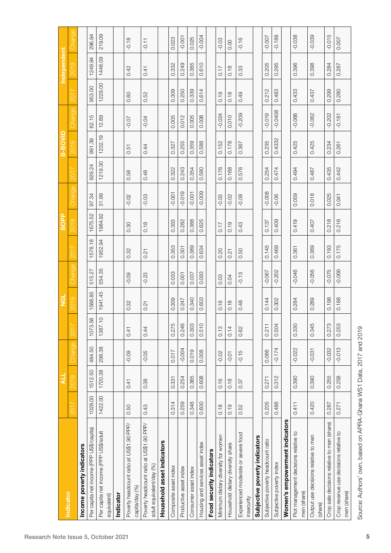|                                                                      |         | ᆗ       |          |         | $\vec{e}$ |          |         | <b>BOPP</b> |          |         | B-BOVID |           |         | <b>Independent</b> |          |
|----------------------------------------------------------------------|---------|---------|----------|---------|-----------|----------|---------|-------------|----------|---------|---------|-----------|---------|--------------------|----------|
| Indicator                                                            | 2017    | 2019    | Change   | 2017    | 2019      | Change   | 2017    | 2019        | Change   | 2017    | 2019    | Change    | 2017    | 2019               | Change   |
| Income poverty indicators                                            |         |         |          |         |           |          |         |             |          |         |         |           |         |                    |          |
| Per capita net income (PPP US\$/capita)                              | 1028.00 | 1512.50 | 484.50   | 1073.58 | 1588.85   | 515.27   | 1578.18 | 1675.52     | 97.34    | 929.24  | 991.39  | 62.15     | 953.00  | 1249.94            | 296.94   |
| Per capita net income (PPP US\$/adult<br>equivalent)                 | 1422.00 | 1720.38 | 298.38   | 1387.10 | 1941.45   | 554.35   | 1952.94 | 1984.92     | 31.99    | 1219.30 | 1232.19 | 12.89     | 1229.00 | 1448.09            | 219.09   |
| Indicator                                                            |         |         |          |         |           |          |         |             |          |         |         |           |         |                    |          |
| Poverty headcount ratio at US\$1.90 PPP/<br>capita/day (%)           | 0.50    | 0.41    | $-0.09$  | 0.41    | 0.32      | $-0.09$  | 0.32    | 0.30        | $-0.02$  | 0.58    | 0.51    | $-0.07$   | 0.60    | 0.42               | $-0.18$  |
| Poverty headcount ratio at US\$1.90 PPP/<br>adult equivalent/day (%) | 0.43    | 0.38    | $-0.05$  | 0.44    | 0.21      | $-0.23$  | 0.21    | 0.18        | $-0.03$  | 0.48    | 0.44    | $-0.04$   | 0.52    | 0.41               | $-0.11$  |
| Household asset indicators                                           |         |         |          |         |           |          |         |             |          |         |         |           |         |                    |          |
| Composite asset index                                                | 0.314   | 0.331   | 0.017    | 0.275   | 0.309     | 0.033    | 0.353   | 0.353       | $-0.001$ | 0.322   | 0.327   | 0.005     | 0.309   | 0.332              | 0.023    |
| Productive asset index                                               | 0.259   | 0.254   | $-0.004$ | 0.246   | 0.247     | 0.001    | 0.301   | 0.282       | $-0.019$ | 0.243   | 0.255   | 0.012     | 0.250   | 0.249              | $-0.001$ |
| Consumer asset index                                                 | 0.346   | 0.365   | 0.019    | 0.303   | 0.340     | 0.037    | 0.389   | 0.388       | $-0.001$ | 0.354   | 0.359   | 0.005     | 0.339   | 0.365              | 0.025    |
| Housing and services asset index                                     | 0.600   | 0.608   | 0.008    | 0.510   | 0.603     | 0.093    | 0.634   | 0.625       | $-0.009$ | 0.580   | 0.588   | 0.008     | 0.614   | 0.610              | $-0.004$ |
| Food security indicators                                             |         |         |          |         |           |          |         |             |          |         |         |           |         |                    |          |
| Minimum dietary diversity for women                                  | 0.18    | 0.16    | $-0.02$  | 0.13    | 0.16      | 0.03     | 0.20    | 0.17        | $-0.03$  | 0.176   | 0.152   | $-0.024$  | 0.19    | 0.17               | $-0.03$  |
| Household dietary diversity share                                    | 0.19    | 0.18    | $-0.01$  | 0.14    | 0.18      | 0.04     | 0.21    | 0.19        | $-0.02$  | 0.168   | 0.178   | 0.010     | 0.18    | 0.18               | 0.00     |
| Experienced moderate or severe food<br>insecurity                    | 0.52    | 0.37    | $-0.15$  | 0.62    | 0.48      | $-0.13$  | 0.50    | 0.43        | $-0.08$  | 0.576   | 0.367   | $-0.209$  | 0.49    | 0.33               | $-0.16$  |
| Subjective poverty indicators                                        |         |         |          |         |           |          |         |             |          |         |         |           |         |                    |          |
| Subjective poverty headcount ratio                                   | 0.205   | 0.271   | 0.066    | 0.211   | 0.144     | $-0.067$ | 0.145   | 0.137       | $-0.008$ | 0.254   | 0.235   | $-0.019$  | 0.212   | 0.205              | $-0.007$ |
| Subjective poverty index                                             | 0.486   | 0.312   | $-0.174$ | 0.504   | 0.302     | $-0.202$ | 0.469   | 0.409       | $-0.06$  | 0.474   | 0.4332  | $-0.0408$ | 0.483   | 0.295              | $-0.188$ |
| Women's empowerment indicators                                       |         |         |          |         |           |          |         |             |          |         |         |           |         |                    |          |
| Plot management decisions relative to<br>men (share)                 | 0.411   | 0.390   | $-0.022$ | 0.330   | 0.284     | $-0.046$ | 0.361   | 0.419       | 0.059    | 0.494   | 0.425   | $-0.068$  | 0.433   | 0.396              | $-0.038$ |
| Output use decisions relative to men<br>(share)                      | 0.420   | 0.390   | $-0.031$ | 0.345   | 0.289     | $-0.056$ | 0.389   | 0.407       | 0.018    | 0.487   | 0.425   | $-0.062$  | 0.437   | 0.398              | $-0.039$ |
| Crop sale decisions relative to men (share)                          | 0.287   | 0.255   | $-0.032$ | 0.273   | 0.198     | $-0.075$ | 0.193   | 0.218       | 0.025    | 0.435   | 0.234   | $-0.202$  | 0.299   | 0.284              | $-0.015$ |
| Crop revenue use decisions relative to<br>men (share)                | 0.271   | 0.258   | $-0.013$ | 0.253   | 0.188     | $-0.066$ | 0.175   | 0.216       | 0.041    | 0.442   | 0.261   | $-0.181$  | 0.280   | 0.287              | 0.007    |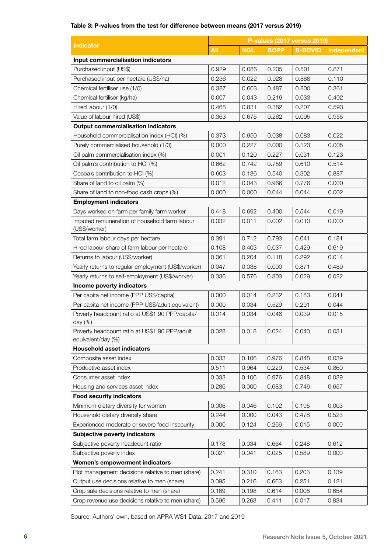## Table 3: P-values from the test for difference between means (2017 versus 2019)

|                                                                     |       |            |             | <b>P-values (2017 versus 2019)</b> |             |
|---------------------------------------------------------------------|-------|------------|-------------|------------------------------------|-------------|
| Indicator                                                           | All   | <b>NGL</b> | <b>BOPP</b> | <b>B-BOVID</b>                     | Independent |
| Input commercialisation indicators                                  |       |            |             |                                    |             |
| Purchased input (US\$)                                              | 0.929 | 0.086      | 0.205       | 0.501                              | 0.871       |
| Purchased input per hectare (US\$/ha)                               | 0.236 | 0.022      | 0.928       | 0.888                              | 0.110       |
| Chemical fertiliser use (1/0)                                       | 0.387 | 0.603      | 0.487       | 0.800                              | 0.361       |
| Chemical fertiliser (kg/ha)                                         | 0.007 | 0.043      | 0.219       | 0.033                              | 0.402       |
| Hired labour (1/0)                                                  | 0.468 | 0.831      | 0.382       | 0.207                              | 0.593       |
| Value of labour hired (US\$)                                        | 0.363 | 0.675      | 0.262       | 0.095                              | 0.955       |
| <b>Output commercialisation indicators</b>                          |       |            |             |                                    |             |
| Household commercialisation index (HCI) (%)                         | 0.373 | 0.950      | 0.038       | 0.083                              | 0.022       |
| Purely commercialised household (1/0)                               | 0.000 | 0.227      | 0.000       | 0.123                              | 0.005       |
| Oil palm commercialisation index (%)                                | 0.001 | 0.120      | 0.227       | 0.031                              | 0.123       |
| Oil palm's contribution to HCl (%)                                  | 0.662 | 0.742      | 0.759       | 0.610                              | 0.514       |
| Cocoa's contribution to HCI (%)                                     | 0.603 | 0.136      | 0.540       | 0.302                              | 0.887       |
| Share of land to oil palm (%)                                       | 0.012 | 0.043      | 0.966       | 0.776                              | 0.000       |
| Share of land to non-food cash crops (%)                            | 0.000 | 0.000      | 0.044       | 0.044                              | 0.002       |
| <b>Employment indicators</b>                                        |       |            |             |                                    |             |
| Days worked on farm per family farm worker                          | 0.418 | 0.692      | 0.400       | 0.544                              | 0.019       |
| Imputed remuneration of household farm labour                       | 0.032 | 0.011      | 0.002       | 0.010                              | 0.000       |
| (US\$/worker)                                                       |       |            |             |                                    |             |
| Total farm labour days per hectare                                  | 0.391 | 0.712      | 0.793       | 0.041                              | 0.181       |
| Hired labour share of farm labour per hectare                       | 0.108 | 0.403      | 0.037       | 0.429                              | 0.619       |
| Returns to labour (US\$/worker)                                     | 0.061 | 0.204      | 0.118       | 0.292                              | 0.014       |
| Yearly returns to regular employment (US\$/worker)                  | 0.047 | 0.038      | 0.000       | 0.871                              | 0.489       |
| Yearly returns to self-employment (US\$/worker)                     | 0.336 | 0.576      | 0.303       | 0.029                              | 0.022       |
| Income poverty indicators                                           |       |            |             |                                    |             |
| Per capita net income (PPP US\$/capita)                             | 0.000 | 0.014      | 0.232       | 0.183                              | 0.041       |
| Per capita net income (PPP US\$/adult equivalent)                   | 0.000 | 0.034      | 0.529       | 0.291                              | 0.044       |
| Poverty headcount ratio at US\$1.90 PPP/capita/<br>day (%)          | 0.014 | 0.034      | 0.046       | 0.039                              | 0.015       |
| Poverty headcount ratio at US\$1.90 PPP/adult<br>equivalent/day (%) | 0.028 | 0.018      | 0.024       | 0.040                              | 0.031       |
| <b>Household asset indicators</b>                                   |       |            |             |                                    |             |
| Composite asset index                                               | 0.033 | 0.106      | 0.976       | 0.848                              | 0.039       |
| Productive asset index                                              | 0.511 | 0.964      | 0.229       | 0.534                              | 0.860       |
| Consumer asset index                                                | 0.033 | 0.106      | 0.976       | 0.848                              | 0.039       |
| Housing and services asset index                                    | 0.286 | 0.000      | 0.683       | 0.746                              | 0.657       |
| <b>Food security indicators</b>                                     |       |            |             |                                    |             |
| Minimum dietary diversity for women                                 | 0.006 | 0.046      | 0.102       | 0.195                              | 0.003       |
| Household dietary diversity share                                   | 0.244 | 0.000      | 0.043       | 0.478                              | 0.523       |
| Experienced moderate or severe food insecurity                      | 0.000 | 0.124      | 0.266       | 0.015                              | 0.000       |
| Subjective poverty indicators                                       |       |            |             |                                    |             |
| Subjective poverty headcount ratio                                  | 0.178 | 0.034      | 0.664       | 0.248                              | 0.612       |
| Subjective poverty index                                            | 0.021 | 0.041      | 0.025       | 0.589                              | 0.000       |
| <b>Women's empowerment indicators</b>                               |       |            |             |                                    |             |
| Plot management decisions relative to men (share)                   | 0.241 | 0.310      | 0.163       | 0.203                              | 0.139       |
| Output use decisions relative to men (share)                        | 0.095 | 0.216      | 0.663       | 0.251                              | 0.121       |
| Crop sale decisions relative to men (share)                         | 0.169 | 0.198      | 0.614       | 0.006                              | 0.654       |
| Crop revenue use decisions relative to men (share)                  | 0.596 | 0.263      | 0.411       | 0.017                              | 0.834       |

Source: Authors' own, based on APRA WS1 Data, 2017 and 2019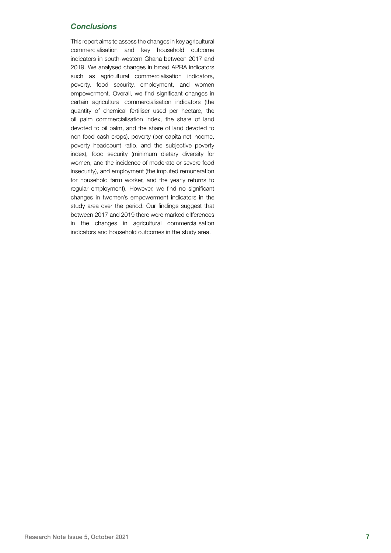## *Conclusions*

This report aims to assess the changes in key agricultural commercialisation and key household outcome indicators in south-western Ghana between 2017 and 2019. We analysed changes in broad APRA indicators such as agricultural commercialisation indicators, poverty, food security, employment, and women empowerment. Overall, we find significant changes in certain agricultural commercialisation indicators (the quantity of chemical fertiliser used per hectare, the oil palm commercialisation index, the share of land devoted to oil palm, and the share of land devoted to non-food cash crops), poverty (per capita net income, poverty headcount ratio, and the subjective poverty index), food security (minimum dietary diversity for women, and the incidence of moderate or severe food insecurity), and employment (the imputed remuneration for household farm worker, and the yearly returns to regular employment). However, we find no significant changes in twomen's empowerment indicators in the study area over the period. Our findings suggest that between 2017 and 2019 there were marked differences in the changes in agricultural commercialisation indicators and household outcomes in the study area.